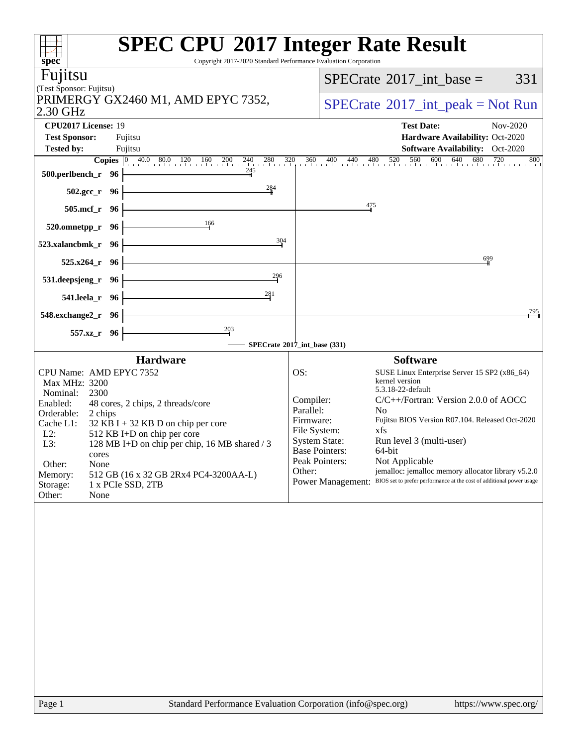| spec <sup>®</sup>                                                                             | <b>SPEC CPU®2017 Integer Rate Result</b><br>Copyright 2017-2020 Standard Performance Evaluation Corporation |
|-----------------------------------------------------------------------------------------------|-------------------------------------------------------------------------------------------------------------|
| Fujitsu                                                                                       | $SPECTate$ <sup>®</sup> 2017_int_base =<br>331                                                              |
| (Test Sponsor: Fujitsu)<br>PRIMERGY GX2460 M1, AMD EPYC 7352,                                 |                                                                                                             |
| 2.30 GHz                                                                                      | $SPECrate^{\circledast}2017\_int\_peak = Not Run$                                                           |
| CPU2017 License: 19                                                                           | <b>Test Date:</b><br>Nov-2020                                                                               |
| <b>Test Sponsor:</b><br>Fujitsu<br><b>Tested by:</b><br>Fujitsu                               | Hardware Availability: Oct-2020<br><b>Software Availability:</b> Oct-2020                                   |
| <b>Copies</b> 0 40.0 80.0 120 160 200 240<br>$280$ $320$                                      | 360 400 440 480 520 560 600 640 680 720<br>800                                                              |
| 245<br>500.perlbench_r 96                                                                     |                                                                                                             |
| $\frac{284}{4}$<br>502.gcc_r 96                                                               |                                                                                                             |
| 505.mcf_r 96                                                                                  | 475                                                                                                         |
| 166<br>520.omnetpp_r 96                                                                       |                                                                                                             |
| 304<br>523.xalancbmk_r<br>- 96                                                                |                                                                                                             |
| 525.x264 r 96                                                                                 | 699                                                                                                         |
| 296<br>531.deepsjeng_r 96                                                                     |                                                                                                             |
| 281<br>541.leela_r 96                                                                         |                                                                                                             |
| 548.exchange2_r 96                                                                            | ,795                                                                                                        |
| $\frac{203}{7}$<br>557.xz_r 96                                                                |                                                                                                             |
|                                                                                               | SPECrate®2017_int_base (331)                                                                                |
| <b>Hardware</b>                                                                               | <b>Software</b>                                                                                             |
| CPU Name: AMD EPYC 7352<br>Max MHz: 3200                                                      | OS:<br>SUSE Linux Enterprise Server 15 SP2 (x86_64)<br>kernel version                                       |
| Nominal:<br>2300                                                                              | 5.3.18-22-default<br>Compiler:<br>C/C++/Fortran: Version 2.0.0 of AOCC                                      |
| Enabled:<br>48 cores, 2 chips, 2 threads/core<br>Orderable:<br>2 chips                        | Parallel:<br>N <sub>0</sub>                                                                                 |
| Cache L1:<br>$32$ KB I + 32 KB D on chip per core                                             | Fujitsu BIOS Version R07.104. Released Oct-2020<br>Firmware:<br>File System:<br>xfs                         |
| $L2$ :<br>512 KB I+D on chip per core<br>L3:<br>128 MB I+D on chip per chip, 16 MB shared / 3 | Run level 3 (multi-user)<br><b>System State:</b>                                                            |
| cores                                                                                         | <b>Base Pointers:</b><br>64-bit<br>Peak Pointers:<br>Not Applicable                                         |
| Other:<br>None<br>512 GB (16 x 32 GB 2Rx4 PC4-3200AA-L)<br>Memory:                            | jemalloc: jemalloc memory allocator library v5.2.0<br>Other:                                                |
| 1 x PCIe SSD, 2TB<br>Storage:                                                                 | Power Management: BIOS set to prefer performance at the cost of additional power usage                      |
| Other:<br>None                                                                                |                                                                                                             |
|                                                                                               |                                                                                                             |
|                                                                                               |                                                                                                             |
|                                                                                               |                                                                                                             |
|                                                                                               |                                                                                                             |
|                                                                                               |                                                                                                             |
|                                                                                               |                                                                                                             |
|                                                                                               |                                                                                                             |
|                                                                                               |                                                                                                             |
|                                                                                               |                                                                                                             |
|                                                                                               |                                                                                                             |
|                                                                                               |                                                                                                             |
| $D_{\alpha\alpha\alpha}$ 1                                                                    | Standard Darformange Evaluation Corporation (info@gnee.org)<br>http://www.                                  |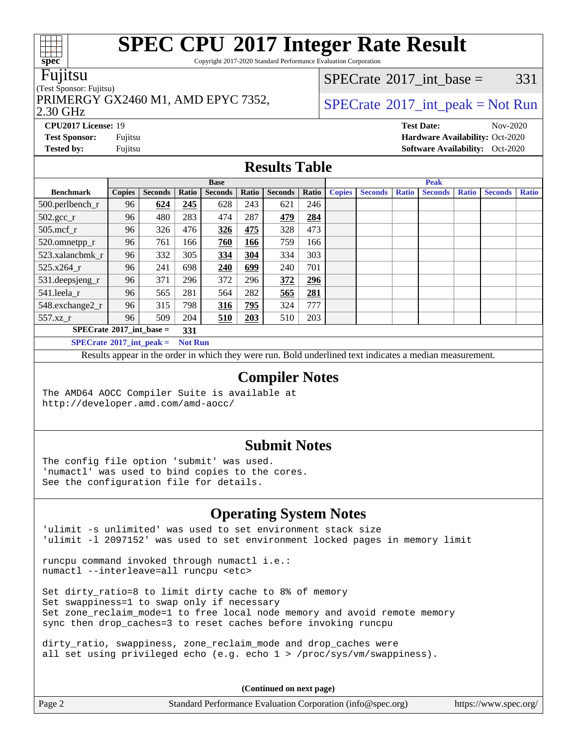Copyright 2017-2020 Standard Performance Evaluation Corporation

#### Fujitsu

#### (Test Sponsor: Fujitsu)

PRIMERGY GX2460 M1, AMD EPYC 7352,  $\vert$  [SPECrate](http://www.spec.org/auto/cpu2017/Docs/result-fields.html#SPECrate2017intpeak) [2017\\_int\\_peak = N](http://www.spec.org/auto/cpu2017/Docs/result-fields.html#SPECrate2017intpeak)ot Run

[SPECrate](http://www.spec.org/auto/cpu2017/Docs/result-fields.html#SPECrate2017intbase)<sup>®</sup>2017 int base =  $331$ 

2.30 GHz

**[CPU2017 License:](http://www.spec.org/auto/cpu2017/Docs/result-fields.html#CPU2017License)** 19 **[Test Date:](http://www.spec.org/auto/cpu2017/Docs/result-fields.html#TestDate)** Nov-2020 **[Test Sponsor:](http://www.spec.org/auto/cpu2017/Docs/result-fields.html#TestSponsor)** Fujitsu **[Hardware Availability:](http://www.spec.org/auto/cpu2017/Docs/result-fields.html#HardwareAvailability)** Oct-2020 **[Tested by:](http://www.spec.org/auto/cpu2017/Docs/result-fields.html#Testedby)** Fujitsu **Fugital Exception Contract Contract Contract Contract Contract Contract Contract Contract Contract Contract Contract Contract Contract Contract Contract Contract Contract Contract Contract Contract Co** 

### **[Results Table](http://www.spec.org/auto/cpu2017/Docs/result-fields.html#ResultsTable)**

|                                          | <b>Base</b>                                         |                |       |                | <b>Peak</b>  |                |       |               |                |              |                |              |                |              |
|------------------------------------------|-----------------------------------------------------|----------------|-------|----------------|--------------|----------------|-------|---------------|----------------|--------------|----------------|--------------|----------------|--------------|
| <b>Benchmark</b>                         | <b>Copies</b>                                       | <b>Seconds</b> | Ratio | <b>Seconds</b> | <b>Ratio</b> | <b>Seconds</b> | Ratio | <b>Copies</b> | <b>Seconds</b> | <b>Ratio</b> | <b>Seconds</b> | <b>Ratio</b> | <b>Seconds</b> | <b>Ratio</b> |
| $500.$ perlbench_r                       | 96                                                  | 624            | 245   | 628            | 243          | 621            | 246   |               |                |              |                |              |                |              |
| $502.\text{gcc}_r$                       | 96                                                  | 480            | 283   | 474            | 287          | 479            | 284   |               |                |              |                |              |                |              |
| $505$ .mcf r                             | 96                                                  | 326            | 476   | 326            | 475          | 328            | 473   |               |                |              |                |              |                |              |
| 520.omnetpp_r                            | 96                                                  | 761            | 166   | 760            | 166          | 759            | 166   |               |                |              |                |              |                |              |
| 523.xalancbmk r                          | 96                                                  | 332            | 305   | 334            | 304          | 334            | 303   |               |                |              |                |              |                |              |
| 525.x264 r                               | 96                                                  | 241            | 698   | 240            | 699          | 240            | 701   |               |                |              |                |              |                |              |
| 531.deepsjeng_r                          | 96                                                  | 371            | 296   | 372            | 296          | 372            | 296   |               |                |              |                |              |                |              |
| 541.leela_r                              | 96                                                  | 565            | 281   | 564            | 282          | 565            | 281   |               |                |              |                |              |                |              |
| 548.exchange2_r                          | 96                                                  | 315            | 798   | 316            | 795          | 324            | 777   |               |                |              |                |              |                |              |
| 557.xz_r                                 | 96                                                  | 509            | 204   | 510            | 203          | 510            | 203   |               |                |              |                |              |                |              |
| $SPECrate^{\circ}2017$ int base =<br>331 |                                                     |                |       |                |              |                |       |               |                |              |                |              |                |              |
|                                          | $SPECrate^{\circ}2017$ int peak =<br><b>Not Run</b> |                |       |                |              |                |       |               |                |              |                |              |                |              |

Results appear in the [order in which they were run](http://www.spec.org/auto/cpu2017/Docs/result-fields.html#RunOrder). Bold underlined text [indicates a median measurement](http://www.spec.org/auto/cpu2017/Docs/result-fields.html#Median).

#### **[Compiler Notes](http://www.spec.org/auto/cpu2017/Docs/result-fields.html#CompilerNotes)**

The AMD64 AOCC Compiler Suite is available at <http://developer.amd.com/amd-aocc/>

#### **[Submit Notes](http://www.spec.org/auto/cpu2017/Docs/result-fields.html#SubmitNotes)**

The config file option 'submit' was used. 'numactl' was used to bind copies to the cores. See the configuration file for details.

### **[Operating System Notes](http://www.spec.org/auto/cpu2017/Docs/result-fields.html#OperatingSystemNotes)**

'ulimit -s unlimited' was used to set environment stack size 'ulimit -l 2097152' was used to set environment locked pages in memory limit

runcpu command invoked through numactl i.e.: numactl --interleave=all runcpu <etc>

Set dirty\_ratio=8 to limit dirty cache to 8% of memory Set swappiness=1 to swap only if necessary Set zone\_reclaim\_mode=1 to free local node memory and avoid remote memory sync then drop\_caches=3 to reset caches before invoking runcpu

dirty\_ratio, swappiness, zone\_reclaim\_mode and drop\_caches were all set using privileged echo (e.g. echo 1 > /proc/sys/vm/swappiness).

**(Continued on next page)**

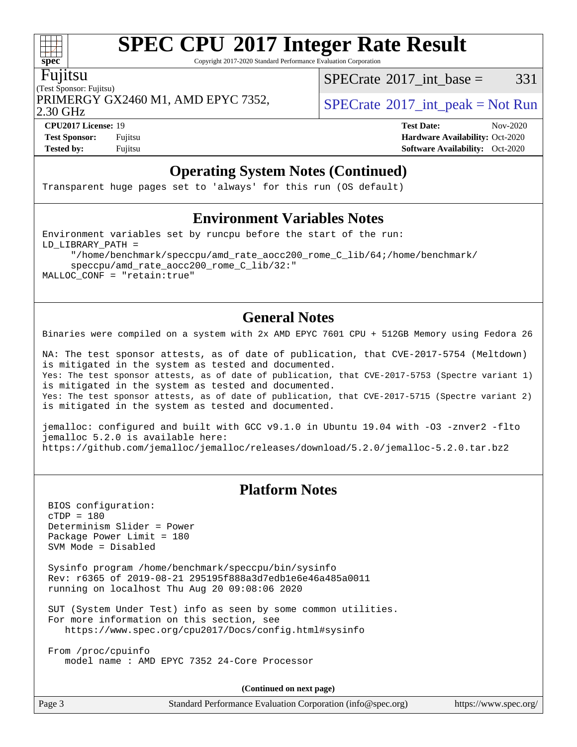Copyright 2017-2020 Standard Performance Evaluation Corporation

#### Fujitsu

(Test Sponsor: Fujitsu) 2.30 GHz PRIMERGY GX2460 M1, AMD EPYC 7352,  $\vert$  [SPECrate](http://www.spec.org/auto/cpu2017/Docs/result-fields.html#SPECrate2017intpeak) [2017\\_int\\_peak = N](http://www.spec.org/auto/cpu2017/Docs/result-fields.html#SPECrate2017intpeak)ot Run

[SPECrate](http://www.spec.org/auto/cpu2017/Docs/result-fields.html#SPECrate2017intbase)<sup>®</sup>2017 int base =  $331$ 

**[Tested by:](http://www.spec.org/auto/cpu2017/Docs/result-fields.html#Testedby)** Fujitsu **[Software Availability:](http://www.spec.org/auto/cpu2017/Docs/result-fields.html#SoftwareAvailability)** Oct-2020

**[CPU2017 License:](http://www.spec.org/auto/cpu2017/Docs/result-fields.html#CPU2017License)** 19 **[Test Date:](http://www.spec.org/auto/cpu2017/Docs/result-fields.html#TestDate)** Nov-2020 **[Test Sponsor:](http://www.spec.org/auto/cpu2017/Docs/result-fields.html#TestSponsor)** Fujitsu **[Hardware Availability:](http://www.spec.org/auto/cpu2017/Docs/result-fields.html#HardwareAvailability)** Oct-2020

### **[Operating System Notes \(Continued\)](http://www.spec.org/auto/cpu2017/Docs/result-fields.html#OperatingSystemNotes)**

Transparent huge pages set to 'always' for this run (OS default)

#### **[Environment Variables Notes](http://www.spec.org/auto/cpu2017/Docs/result-fields.html#EnvironmentVariablesNotes)**

Environment variables set by runcpu before the start of the run: LD\_LIBRARY\_PATH = "/home/benchmark/speccpu/amd\_rate\_aocc200\_rome\_C\_lib/64;/home/benchmark/ speccpu/amd\_rate\_aocc200\_rome\_C\_lib/32:"

MALLOC\_CONF = "retain:true"

### **[General Notes](http://www.spec.org/auto/cpu2017/Docs/result-fields.html#GeneralNotes)**

Binaries were compiled on a system with 2x AMD EPYC 7601 CPU + 512GB Memory using Fedora 26

NA: The test sponsor attests, as of date of publication, that CVE-2017-5754 (Meltdown) is mitigated in the system as tested and documented. Yes: The test sponsor attests, as of date of publication, that CVE-2017-5753 (Spectre variant 1) is mitigated in the system as tested and documented. Yes: The test sponsor attests, as of date of publication, that CVE-2017-5715 (Spectre variant 2) is mitigated in the system as tested and documented.

jemalloc: configured and built with GCC v9.1.0 in Ubuntu 19.04 with -O3 -znver2 -flto jemalloc 5.2.0 is available here: <https://github.com/jemalloc/jemalloc/releases/download/5.2.0/jemalloc-5.2.0.tar.bz2>

### **[Platform Notes](http://www.spec.org/auto/cpu2017/Docs/result-fields.html#PlatformNotes)**

 BIOS configuration: cTDP = 180 Determinism Slider = Power Package Power Limit = 180 SVM Mode = Disabled

 Sysinfo program /home/benchmark/speccpu/bin/sysinfo Rev: r6365 of 2019-08-21 295195f888a3d7edb1e6e46a485a0011 running on localhost Thu Aug 20 09:08:06 2020

 SUT (System Under Test) info as seen by some common utilities. For more information on this section, see <https://www.spec.org/cpu2017/Docs/config.html#sysinfo>

 From /proc/cpuinfo model name : AMD EPYC 7352 24-Core Processor

**(Continued on next page)**

Page 3 Standard Performance Evaluation Corporation [\(info@spec.org\)](mailto:info@spec.org) <https://www.spec.org/>

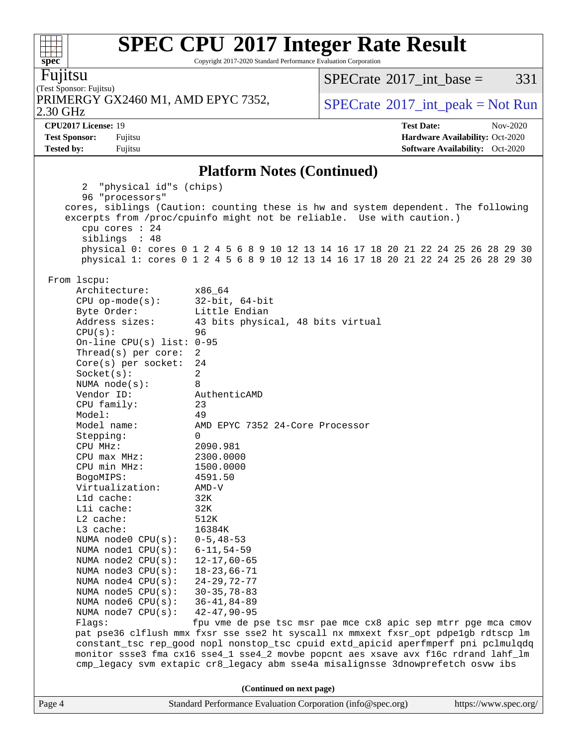Copyright 2017-2020 Standard Performance Evaluation Corporation

Fujitsu

(Test Sponsor: Fujitsu) 2.30 GHz PRIMERGY GX2460 M1, AMD EPYC 7352,  $\vert$  [SPECrate](http://www.spec.org/auto/cpu2017/Docs/result-fields.html#SPECrate2017intpeak) [2017\\_int\\_peak = N](http://www.spec.org/auto/cpu2017/Docs/result-fields.html#SPECrate2017intpeak)ot Run

[SPECrate](http://www.spec.org/auto/cpu2017/Docs/result-fields.html#SPECrate2017intbase)<sup>®</sup>2017 int base =  $331$ 

**[Tested by:](http://www.spec.org/auto/cpu2017/Docs/result-fields.html#Testedby)** Fujitsu **[Software Availability:](http://www.spec.org/auto/cpu2017/Docs/result-fields.html#SoftwareAvailability)** Oct-2020

**[CPU2017 License:](http://www.spec.org/auto/cpu2017/Docs/result-fields.html#CPU2017License)** 19 **[Test Date:](http://www.spec.org/auto/cpu2017/Docs/result-fields.html#TestDate)** Nov-2020 **[Test Sponsor:](http://www.spec.org/auto/cpu2017/Docs/result-fields.html#TestSponsor)** Fujitsu **[Hardware Availability:](http://www.spec.org/auto/cpu2017/Docs/result-fields.html#HardwareAvailability)** Oct-2020

#### **[Platform Notes \(Continued\)](http://www.spec.org/auto/cpu2017/Docs/result-fields.html#PlatformNotes)**

Page 4 Standard Performance Evaluation Corporation [\(info@spec.org\)](mailto:info@spec.org) <https://www.spec.org/> 2 "physical id"s (chips) 96 "processors" cores, siblings (Caution: counting these is hw and system dependent. The following excerpts from /proc/cpuinfo might not be reliable. Use with caution.) cpu cores : 24 siblings : 48 physical 0: cores 0 1 2 4 5 6 8 9 10 12 13 14 16 17 18 20 21 22 24 25 26 28 29 30 physical 1: cores 0 1 2 4 5 6 8 9 10 12 13 14 16 17 18 20 21 22 24 25 26 28 29 30 From lscpu: Architecture: x86\_64 CPU op-mode(s): 32-bit, 64-bit Byte Order: Little Endian Address sizes: 43 bits physical, 48 bits virtual CPU(s): 96 On-line CPU(s) list: 0-95 Thread(s) per core: 2 Core(s) per socket: 24 Socket(s): 2 NUMA node(s): 8 Vendor ID: AuthenticAMD CPU family: 23 Model: 49 Model name: AMD EPYC 7352 24-Core Processor Stepping: 0 CPU MHz: 2090.981 CPU max MHz: 2300.0000 CPU min MHz: 1500.0000 BogoMIPS: 4591.50 Virtualization: AMD-V L1d cache: 32K L1i cache: 32K L2 cache: 512K L3 cache: 16384K NUMA node0 CPU(s): 0-5,48-53 NUMA node1 CPU(s): 6-11,54-59 NUMA node2 CPU(s): 12-17,60-65 NUMA node3 CPU(s): 18-23,66-71 NUMA node4 CPU(s): 24-29,72-77 NUMA node5 CPU(s): 30-35,78-83 NUMA node6 CPU(s): 36-41,84-89 NUMA node7 CPU(s): 42-47,90-95 Flags: fpu vme de pse tsc msr pae mce cx8 apic sep mtrr pge mca cmov pat pse36 clflush mmx fxsr sse sse2 ht syscall nx mmxext fxsr\_opt pdpe1gb rdtscp lm constant\_tsc rep\_good nopl nonstop\_tsc cpuid extd\_apicid aperfmperf pni pclmulqdq monitor ssse3 fma cx16 sse4\_1 sse4\_2 movbe popcnt aes xsave avx f16c rdrand lahf\_lm cmp\_legacy svm extapic cr8\_legacy abm sse4a misalignsse 3dnowprefetch osvw ibs **(Continued on next page)**

 $+\!\!+\!\!$ **[spec](http://www.spec.org/)**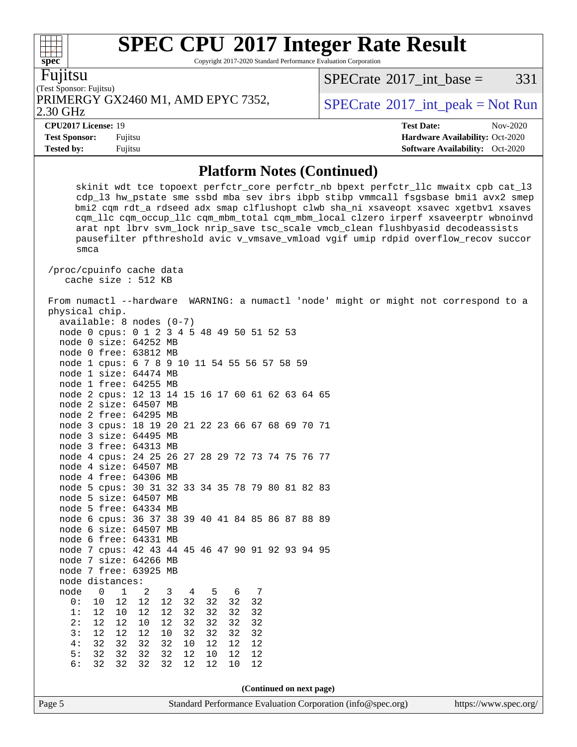Copyright 2017-2020 Standard Performance Evaluation Corporation

Fujitsu

(Test Sponsor: Fujitsu) 2.30 GHz PRIMERGY GX2460 M1, AMD EPYC 7352,  $\vert$  [SPECrate](http://www.spec.org/auto/cpu2017/Docs/result-fields.html#SPECrate2017intpeak) [2017\\_int\\_peak = N](http://www.spec.org/auto/cpu2017/Docs/result-fields.html#SPECrate2017intpeak)ot Run

[SPECrate](http://www.spec.org/auto/cpu2017/Docs/result-fields.html#SPECrate2017intbase)<sup>®</sup>2017 int base =  $331$ 

**[CPU2017 License:](http://www.spec.org/auto/cpu2017/Docs/result-fields.html#CPU2017License)** 19 **[Test Date:](http://www.spec.org/auto/cpu2017/Docs/result-fields.html#TestDate)** Nov-2020 **[Test Sponsor:](http://www.spec.org/auto/cpu2017/Docs/result-fields.html#TestSponsor)** Fujitsu **[Hardware Availability:](http://www.spec.org/auto/cpu2017/Docs/result-fields.html#HardwareAvailability)** Oct-2020 **[Tested by:](http://www.spec.org/auto/cpu2017/Docs/result-fields.html#Testedby)** Fujitsu **[Software Availability:](http://www.spec.org/auto/cpu2017/Docs/result-fields.html#SoftwareAvailability)** Oct-2020

#### **[Platform Notes \(Continued\)](http://www.spec.org/auto/cpu2017/Docs/result-fields.html#PlatformNotes)**

Page 5 Standard Performance Evaluation Corporation [\(info@spec.org\)](mailto:info@spec.org) <https://www.spec.org/> skinit wdt tce topoext perfctr\_core perfctr\_nb bpext perfctr\_llc mwaitx cpb cat\_l3 cdp\_l3 hw\_pstate sme ssbd mba sev ibrs ibpb stibp vmmcall fsgsbase bmi1 avx2 smep bmi2 cqm rdt\_a rdseed adx smap clflushopt clwb sha\_ni xsaveopt xsavec xgetbv1 xsaves cqm\_llc cqm\_occup\_llc cqm\_mbm\_total cqm\_mbm\_local clzero irperf xsaveerptr wbnoinvd arat npt lbrv svm\_lock nrip\_save tsc\_scale vmcb\_clean flushbyasid decodeassists pausefilter pfthreshold avic v\_vmsave\_vmload vgif umip rdpid overflow\_recov succor smca /proc/cpuinfo cache data cache size : 512 KB From numactl --hardware WARNING: a numactl 'node' might or might not correspond to a physical chip. available: 8 nodes (0-7) node 0 cpus: 0 1 2 3 4 5 48 49 50 51 52 53 node 0 size: 64252 MB node 0 free: 63812 MB node 1 cpus: 6 7 8 9 10 11 54 55 56 57 58 59 node 1 size: 64474 MB node 1 free: 64255 MB node 2 cpus: 12 13 14 15 16 17 60 61 62 63 64 65 node 2 size: 64507 MB node 2 free: 64295 MB node 3 cpus: 18 19 20 21 22 23 66 67 68 69 70 71 node 3 size: 64495 MB node 3 free: 64313 MB node 4 cpus: 24 25 26 27 28 29 72 73 74 75 76 77 node 4 size: 64507 MB node 4 free: 64306 MB node 5 cpus: 30 31 32 33 34 35 78 79 80 81 82 83 node 5 size: 64507 MB node 5 free: 64334 MB node 6 cpus: 36 37 38 39 40 41 84 85 86 87 88 89 node 6 size: 64507 MB node 6 free: 64331 MB node 7 cpus: 42 43 44 45 46 47 90 91 92 93 94 95 node 7 size: 64266 MB node 7 free: 63925 MB node distances: node 0 1 2 3 4 5 6 7 0: 10 12 12 12 32 32 32 32 1: 12 10 12 12 32 32 32 32 2: 12 12 10 12 32 32 32 32 3: 12 12 12 10 32 32 32 32 4: 32 32 32 32 10 12 12 12 5: 32 32 32 32 12 10 12 12 6: 32 32 32 32 12 12 10 12 **(Continued on next page)**

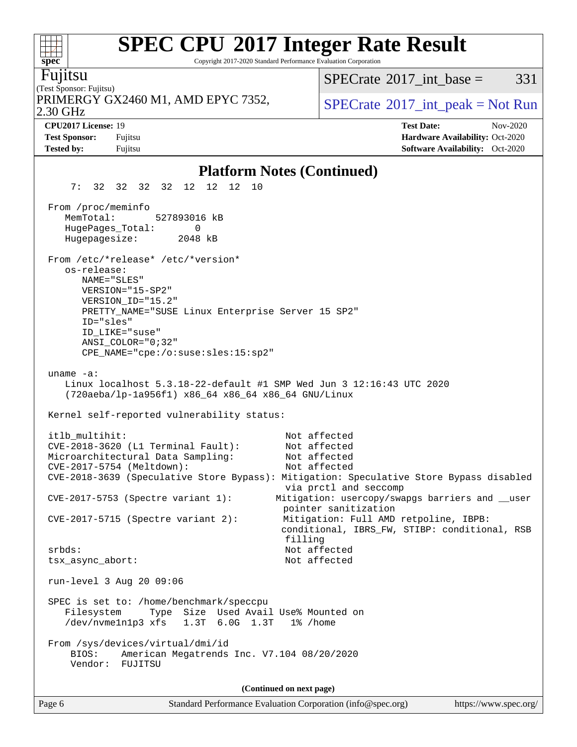Copyright 2017-2020 Standard Performance Evaluation Corporation

(Test Sponsor: Fujitsu) Fujitsu 2.30 GHz PRIMERGY GX2460 M1, AMD EPYC 7352,  $\vert$  [SPECrate](http://www.spec.org/auto/cpu2017/Docs/result-fields.html#SPECrate2017intpeak) [2017\\_int\\_peak = N](http://www.spec.org/auto/cpu2017/Docs/result-fields.html#SPECrate2017intpeak)ot Run  $SPECTate$ <sup>®</sup>2017 int base = 331 **[CPU2017 License:](http://www.spec.org/auto/cpu2017/Docs/result-fields.html#CPU2017License)** 19 **[Test Date:](http://www.spec.org/auto/cpu2017/Docs/result-fields.html#TestDate)** Nov-2020 **[Test Sponsor:](http://www.spec.org/auto/cpu2017/Docs/result-fields.html#TestSponsor)** Fujitsu **[Hardware Availability:](http://www.spec.org/auto/cpu2017/Docs/result-fields.html#HardwareAvailability)** Oct-2020 **[Tested by:](http://www.spec.org/auto/cpu2017/Docs/result-fields.html#Testedby)** Fujitsu **[Software Availability:](http://www.spec.org/auto/cpu2017/Docs/result-fields.html#SoftwareAvailability)** Oct-2020 **[Platform Notes \(Continued\)](http://www.spec.org/auto/cpu2017/Docs/result-fields.html#PlatformNotes)** 7: 32 32 32 32 12 12 12 10 From /proc/meminfo MemTotal: 527893016 kB HugePages\_Total: 0 Hugepagesize: 2048 kB From /etc/\*release\* /etc/\*version\* os-release: NAME="SLES" VERSION="15-SP2" VERSION\_ID="15.2" PRETTY NAME="SUSE Linux Enterprise Server 15 SP2" ID="sles" ID\_LIKE="suse" ANSI\_COLOR="0;32" CPE\_NAME="cpe:/o:suse:sles:15:sp2"

 uname -a: Linux localhost 5.3.18-22-default #1 SMP Wed Jun 3 12:16:43 UTC 2020 (720aeba/lp-1a956f1) x86\_64 x86\_64 x86\_64 GNU/Linux

Kernel self-reported vulnerability status:

itlb\_multihit: Not affected CVE-2018-3620 (L1 Terminal Fault): Not affected Microarchitectural Data Sampling: Not affected CVE-2017-5754 (Meltdown): Not affected CVE-2018-3639 (Speculative Store Bypass): Mitigation: Speculative Store Bypass disabled via prctl and seccomp CVE-2017-5753 (Spectre variant 1): Mitigation: usercopy/swapgs barriers and \_\_user pointer sanitization CVE-2017-5715 (Spectre variant 2): Mitigation: Full AMD retpoline, IBPB: conditional, IBRS\_FW, STIBP: conditional, RSB filling srbds: Not affected tsx\_async\_abort: Not affected run-level 3 Aug 20 09:06 SPEC is set to: /home/benchmark/speccpu Filesystem Type Size Used Avail Use% Mounted on /dev/nvme1n1p3 xfs 1.3T 6.0G 1.3T 1% /home From /sys/devices/virtual/dmi/id BIOS: American Megatrends Inc. V7.104 08/20/2020 Vendor: FUJITSU

**(Continued on next page)**

| spec |  |  |  |  |  |  |  |
|------|--|--|--|--|--|--|--|
|      |  |  |  |  |  |  |  |

المستحدث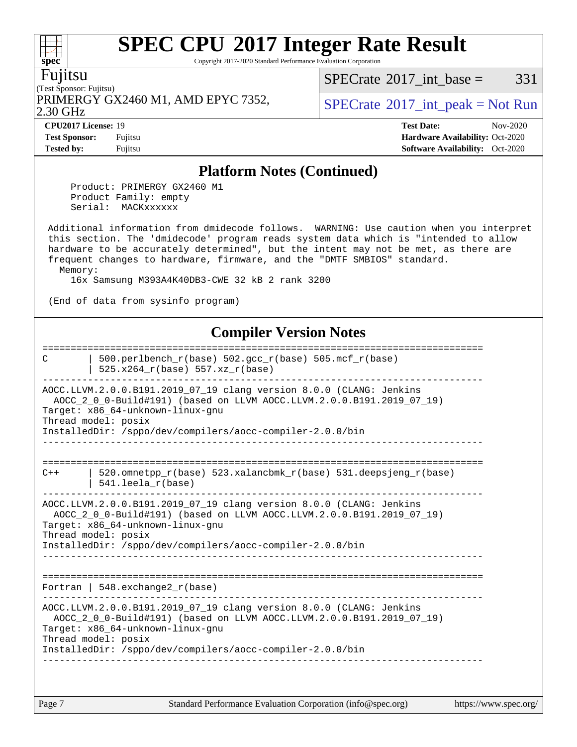Copyright 2017-2020 Standard Performance Evaluation Corporation

Fujitsu

**[spec](http://www.spec.org/)**

 $+\!\!+\!\!$ 

(Test Sponsor: Fujitsu) PRIMERGY GX2460 M1, AMD EPYC 7352,  $\vert$  [SPECrate](http://www.spec.org/auto/cpu2017/Docs/result-fields.html#SPECrate2017intpeak) [2017\\_int\\_peak = N](http://www.spec.org/auto/cpu2017/Docs/result-fields.html#SPECrate2017intpeak)ot Run

[SPECrate](http://www.spec.org/auto/cpu2017/Docs/result-fields.html#SPECrate2017intbase)<sup>®</sup>2017 int base =  $331$ 

2.30 GHz

**[Tested by:](http://www.spec.org/auto/cpu2017/Docs/result-fields.html#Testedby)** Fujitsu **Fugital Exception Contract Contract Contract Contract Contract Contract Contract Contract Contract Contract Contract Contract Contract Contract Contract Contract Contract Contract Contract Contract Co** 

**[CPU2017 License:](http://www.spec.org/auto/cpu2017/Docs/result-fields.html#CPU2017License)** 19 **[Test Date:](http://www.spec.org/auto/cpu2017/Docs/result-fields.html#TestDate)** Nov-2020 **[Test Sponsor:](http://www.spec.org/auto/cpu2017/Docs/result-fields.html#TestSponsor)** Fujitsu **[Hardware Availability:](http://www.spec.org/auto/cpu2017/Docs/result-fields.html#HardwareAvailability)** Oct-2020

#### **[Platform Notes \(Continued\)](http://www.spec.org/auto/cpu2017/Docs/result-fields.html#PlatformNotes)**

 Product: PRIMERGY GX2460 M1 Product Family: empty Serial: MACKxxxxxx

 Additional information from dmidecode follows. WARNING: Use caution when you interpret this section. The 'dmidecode' program reads system data which is "intended to allow hardware to be accurately determined", but the intent may not be met, as there are frequent changes to hardware, firmware, and the "DMTF SMBIOS" standard. Memory:

16x Samsung M393A4K40DB3-CWE 32 kB 2 rank 3200

(End of data from sysinfo program)

### **[Compiler Version Notes](http://www.spec.org/auto/cpu2017/Docs/result-fields.html#CompilerVersionNotes)**

============================================================================== C  $\vert$  500.perlbench\_r(base) 502.gcc\_r(base) 505.mcf\_r(base) | 525.x264 $r(base)$  557.xz $r(base)$ ------------------------------------------------------------------------------ AOCC.LLVM.2.0.0.B191.2019\_07\_19 clang version 8.0.0 (CLANG: Jenkins AOCC\_2\_0\_0-Build#191) (based on LLVM AOCC.LLVM.2.0.0.B191.2019\_07\_19) Target: x86\_64-unknown-linux-gnu Thread model: posix InstalledDir: /sppo/dev/compilers/aocc-compiler-2.0.0/bin ------------------------------------------------------------------------------ ============================================================================== C++  $\vert$  520.omnetpp r(base) 523.xalancbmk r(base) 531.deepsjeng r(base) | 541.leela\_r(base) ------------------------------------------------------------------------------ AOCC.LLVM.2.0.0.B191.2019\_07\_19 clang version 8.0.0 (CLANG: Jenkins AOCC\_2\_0\_0-Build#191) (based on LLVM AOCC.LLVM.2.0.0.B191.2019\_07\_19) Target: x86\_64-unknown-linux-gnu Thread model: posix InstalledDir: /sppo/dev/compilers/aocc-compiler-2.0.0/bin ------------------------------------------------------------------------------ ============================================================================== Fortran | 548.exchange2\_r(base) ------------------------------------------------------------------------------ AOCC.LLVM.2.0.0.B191.2019\_07\_19 clang version 8.0.0 (CLANG: Jenkins AOCC\_2\_0\_0-Build#191) (based on LLVM AOCC.LLVM.2.0.0.B191.2019\_07\_19) Target: x86\_64-unknown-linux-gnu Thread model: posix InstalledDir: /sppo/dev/compilers/aocc-compiler-2.0.0/bin ------------------------------------------------------------------------------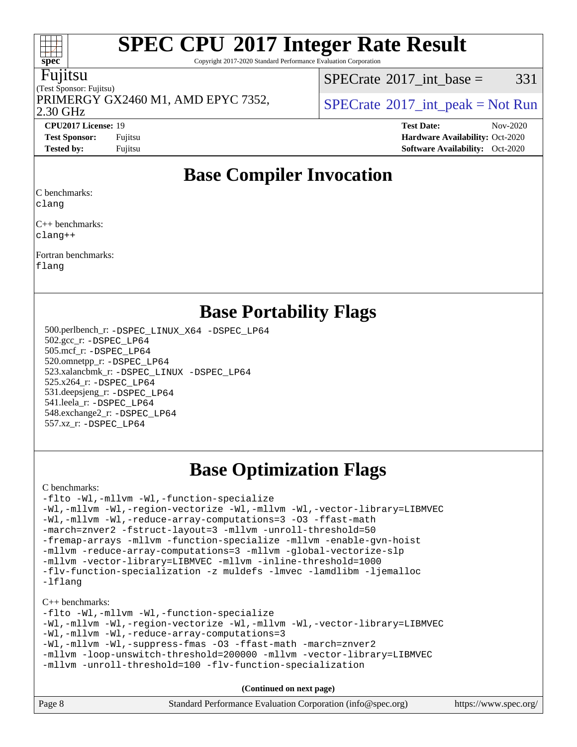Copyright 2017-2020 Standard Performance Evaluation Corporation

#### Fujitsu

(Test Sponsor: Fujitsu) 2.30 GHz PRIMERGY GX2460 M1, AMD EPYC 7352,  $\vert$  [SPECrate](http://www.spec.org/auto/cpu2017/Docs/result-fields.html#SPECrate2017intpeak) [2017\\_int\\_peak = N](http://www.spec.org/auto/cpu2017/Docs/result-fields.html#SPECrate2017intpeak)ot Run

 $SPECTate^{\circledcirc}2017$  int base = 331

**[CPU2017 License:](http://www.spec.org/auto/cpu2017/Docs/result-fields.html#CPU2017License)** 19 **[Test Date:](http://www.spec.org/auto/cpu2017/Docs/result-fields.html#TestDate)** Nov-2020 **[Test Sponsor:](http://www.spec.org/auto/cpu2017/Docs/result-fields.html#TestSponsor)** Fujitsu **[Hardware Availability:](http://www.spec.org/auto/cpu2017/Docs/result-fields.html#HardwareAvailability)** Oct-2020 **[Tested by:](http://www.spec.org/auto/cpu2017/Docs/result-fields.html#Testedby)** Fujitsu **[Software Availability:](http://www.spec.org/auto/cpu2017/Docs/result-fields.html#SoftwareAvailability)** Oct-2020

## **[Base Compiler Invocation](http://www.spec.org/auto/cpu2017/Docs/result-fields.html#BaseCompilerInvocation)**

[C benchmarks:](http://www.spec.org/auto/cpu2017/Docs/result-fields.html#Cbenchmarks)

[clang](http://www.spec.org/cpu2017/results/res2020q4/cpu2017-20201124-24493.flags.html#user_CCbase_clang-c)

[C++ benchmarks:](http://www.spec.org/auto/cpu2017/Docs/result-fields.html#CXXbenchmarks) [clang++](http://www.spec.org/cpu2017/results/res2020q4/cpu2017-20201124-24493.flags.html#user_CXXbase_clang-cpp)

[Fortran benchmarks](http://www.spec.org/auto/cpu2017/Docs/result-fields.html#Fortranbenchmarks): [flang](http://www.spec.org/cpu2017/results/res2020q4/cpu2017-20201124-24493.flags.html#user_FCbase_flang)

## **[Base Portability Flags](http://www.spec.org/auto/cpu2017/Docs/result-fields.html#BasePortabilityFlags)**

 500.perlbench\_r: [-DSPEC\\_LINUX\\_X64](http://www.spec.org/cpu2017/results/res2020q4/cpu2017-20201124-24493.flags.html#b500.perlbench_r_basePORTABILITY_DSPEC_LINUX_X64) [-DSPEC\\_LP64](http://www.spec.org/cpu2017/results/res2020q4/cpu2017-20201124-24493.flags.html#b500.perlbench_r_baseEXTRA_PORTABILITY_DSPEC_LP64) 502.gcc\_r: [-DSPEC\\_LP64](http://www.spec.org/cpu2017/results/res2020q4/cpu2017-20201124-24493.flags.html#suite_baseEXTRA_PORTABILITY502_gcc_r_DSPEC_LP64) 505.mcf\_r: [-DSPEC\\_LP64](http://www.spec.org/cpu2017/results/res2020q4/cpu2017-20201124-24493.flags.html#suite_baseEXTRA_PORTABILITY505_mcf_r_DSPEC_LP64) 520.omnetpp\_r: [-DSPEC\\_LP64](http://www.spec.org/cpu2017/results/res2020q4/cpu2017-20201124-24493.flags.html#suite_baseEXTRA_PORTABILITY520_omnetpp_r_DSPEC_LP64) 523.xalancbmk\_r: [-DSPEC\\_LINUX](http://www.spec.org/cpu2017/results/res2020q4/cpu2017-20201124-24493.flags.html#b523.xalancbmk_r_basePORTABILITY_DSPEC_LINUX) [-DSPEC\\_LP64](http://www.spec.org/cpu2017/results/res2020q4/cpu2017-20201124-24493.flags.html#suite_baseEXTRA_PORTABILITY523_xalancbmk_r_DSPEC_LP64) 525.x264\_r: [-DSPEC\\_LP64](http://www.spec.org/cpu2017/results/res2020q4/cpu2017-20201124-24493.flags.html#suite_baseEXTRA_PORTABILITY525_x264_r_DSPEC_LP64) 531.deepsjeng\_r: [-DSPEC\\_LP64](http://www.spec.org/cpu2017/results/res2020q4/cpu2017-20201124-24493.flags.html#suite_baseEXTRA_PORTABILITY531_deepsjeng_r_DSPEC_LP64) 541.leela\_r: [-DSPEC\\_LP64](http://www.spec.org/cpu2017/results/res2020q4/cpu2017-20201124-24493.flags.html#suite_baseEXTRA_PORTABILITY541_leela_r_DSPEC_LP64) 548.exchange2\_r: [-DSPEC\\_LP64](http://www.spec.org/cpu2017/results/res2020q4/cpu2017-20201124-24493.flags.html#suite_baseEXTRA_PORTABILITY548_exchange2_r_DSPEC_LP64) 557.xz\_r: [-DSPEC\\_LP64](http://www.spec.org/cpu2017/results/res2020q4/cpu2017-20201124-24493.flags.html#suite_baseEXTRA_PORTABILITY557_xz_r_DSPEC_LP64)

## **[Base Optimization Flags](http://www.spec.org/auto/cpu2017/Docs/result-fields.html#BaseOptimizationFlags)**

[C benchmarks](http://www.spec.org/auto/cpu2017/Docs/result-fields.html#Cbenchmarks):

```
-flto -Wl,-mllvm -Wl,-function-specialize
-Wl,-mllvm -Wl,-region-vectorize -Wl,-mllvm -Wl,-vector-library=LIBMVEC
-Wl,-mllvm -Wl,-reduce-array-computations=3 -O3 -ffast-math
-march=znver2 -fstruct-layout=3 -mllvm -unroll-threshold=50
-fremap-arrays -mllvm -function-specialize -mllvm -enable-gvn-hoist
-mllvm -reduce-array-computations=3 -mllvm -global-vectorize-slp
-mllvm -vector-library=LIBMVEC -mllvm -inline-threshold=1000
-flv-function-specialization -z muldefs -lmvec -lamdlibm -ljemalloc
-lflang
```
[C++ benchmarks:](http://www.spec.org/auto/cpu2017/Docs/result-fields.html#CXXbenchmarks)

[-flto](http://www.spec.org/cpu2017/results/res2020q4/cpu2017-20201124-24493.flags.html#user_CXXbase_aocc-flto) [-Wl,-mllvm -Wl,-function-specialize](http://www.spec.org/cpu2017/results/res2020q4/cpu2017-20201124-24493.flags.html#user_CXXbase_F-function-specialize_7e7e661e57922243ee67c9a1251cb8910e607325179a0ce7f2884e09a6f5d4a5ef0ae4f37e8a2a11c95fc48e931f06dc2b6016f14b511fcb441e048bef1b065a) [-Wl,-mllvm -Wl,-region-vectorize](http://www.spec.org/cpu2017/results/res2020q4/cpu2017-20201124-24493.flags.html#user_CXXbase_F-region-vectorize_fb6c6b5aa293c88efc6c7c2b52b20755e943585b1fe8658c35afef78727fff56e1a56891413c30e36b8e2a6f9a71126986319243e80eb6110b78b288f533c52b) [-Wl,-mllvm -Wl,-vector-library=LIBMVEC](http://www.spec.org/cpu2017/results/res2020q4/cpu2017-20201124-24493.flags.html#user_CXXbase_F-use-vector-library_0a14b27fae317f283640384a31f7bfcc2bd4c1d0b5cfc618a3a430800c9b20217b00f61303eff223a3251b4f06ffbc9739dc5296db9d1fbb9ad24a3939d86d66) [-Wl,-mllvm -Wl,-reduce-array-computations=3](http://www.spec.org/cpu2017/results/res2020q4/cpu2017-20201124-24493.flags.html#user_CXXbase_F-reduce-array-computations_b882aefe7a5dda4e33149f6299762b9a720dace3e498e13756f4c04e5a19edf5315c1f3993de2e61ec41e8c206231f84e05da7040e1bb5d69ba27d10a12507e4) [-Wl,-mllvm -Wl,-suppress-fmas](http://www.spec.org/cpu2017/results/res2020q4/cpu2017-20201124-24493.flags.html#user_CXXbase_F-suppress-fmas_f00f00630e4a059e8af9c161e9bbf420bcf19890a7f99d5933525e66aa4b0bb3ab2339d2b12d97d3a5f5d271e839fe9c109938e91fe06230fb53651590cfa1e8) [-O3](http://www.spec.org/cpu2017/results/res2020q4/cpu2017-20201124-24493.flags.html#user_CXXbase_F-O3) [-ffast-math](http://www.spec.org/cpu2017/results/res2020q4/cpu2017-20201124-24493.flags.html#user_CXXbase_aocc-ffast-math) [-march=znver2](http://www.spec.org/cpu2017/results/res2020q4/cpu2017-20201124-24493.flags.html#user_CXXbase_aocc-march_3e2e19cff2eeef60c5d90b059483627c9ea47eca6d66670dbd53f9185f6439e27eb5e104cf773e9e8ab18c8842ce63e461a3e948d0214bd567ef3ade411bf467) [-mllvm -loop-unswitch-threshold=200000](http://www.spec.org/cpu2017/results/res2020q4/cpu2017-20201124-24493.flags.html#user_CXXbase_F-loop-unswitch-threshold_f9a82ae3270e55b5fbf79d0d96ee93606b73edbbe527d20b18b7bff1a3a146ad50cfc7454c5297978340ae9213029016a7d16221274d672d3f7f42ed25274e1d) [-mllvm -vector-library=LIBMVEC](http://www.spec.org/cpu2017/results/res2020q4/cpu2017-20201124-24493.flags.html#user_CXXbase_F-use-vector-library_e584e20b4f7ec96aa109254b65d8e01d864f3d68580371b9d93ed7c338191d4cfce20c3c864632264effc6bbe4c7c38153d02096a342ee92501c4a53204a7871) [-mllvm -unroll-threshold=100](http://www.spec.org/cpu2017/results/res2020q4/cpu2017-20201124-24493.flags.html#user_CXXbase_F-unroll-threshold_2755d0c78138845d361fa1543e3a063fffa198df9b3edf0cfb856bbc88a81e1769b12ac7a550c5d35197be55360db1a3f95a8d1304df999456cabf5120c45168) [-flv-function-specialization](http://www.spec.org/cpu2017/results/res2020q4/cpu2017-20201124-24493.flags.html#user_CXXbase_F-flv-function-specialization)

**(Continued on next page)**

| Page 8 | Standard Performance Evaluation Corporation (info@spec.org) | https://www.spec.org/ |
|--------|-------------------------------------------------------------|-----------------------|
|--------|-------------------------------------------------------------|-----------------------|